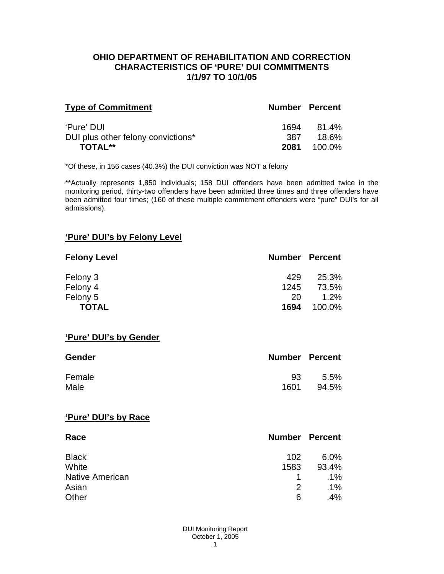#### **OHIO DEPARTMENT OF REHABILITATION AND CORRECTION CHARACTERISTICS OF 'PURE' DUI COMMITMENTS 1/1/97 TO 10/1/05**

| <b>Type of Commitment</b>          | <b>Number Percent</b> |        |
|------------------------------------|-----------------------|--------|
| 'Pure' DUI                         | 1694                  | 81.4%  |
| DUI plus other felony convictions* | 387                   | 18.6%  |
| <b>TOTAL**</b>                     | 2081                  | 100.0% |

\*Of these, in 156 cases (40.3%) the DUI conviction was NOT a felony

\*\*Actually represents 1,850 individuals; 158 DUI offenders have been admitted twice in the monitoring period, thirty-two offenders have been admitted three times and three offenders have been admitted four times; (160 of these multiple commitment offenders were "pure" DUI's for all admissions).

### **'Pure' DUI's by Felony Level**

| <b>Felony Level</b> | <b>Number Percent</b> |         |
|---------------------|-----------------------|---------|
| Felony 3            | 429                   | 25.3%   |
| Felony 4            | 1245                  | 73.5%   |
| Felony 5            | 20                    | $1.2\%$ |
| <b>TOTAL</b>        | 1694                  | 100.0%  |

#### **'Pure' DUI's by Gender**

| <b>Gender</b> | <b>Number Percent</b> |         |
|---------------|-----------------------|---------|
| Female        | 93                    | $5.5\%$ |
| Male          | 1601                  | 94.5%   |

#### **'Pure' DUI's by Race**

| Race                   | <b>Number Percent</b> |        |
|------------------------|-----------------------|--------|
| <b>Black</b>           | 102                   | 6.0%   |
| White                  | 1583                  | 93.4%  |
| <b>Native American</b> | 1.                    | $.1\%$ |
| Asian                  | 2                     | $.1\%$ |
| Other                  | 6                     | .4%    |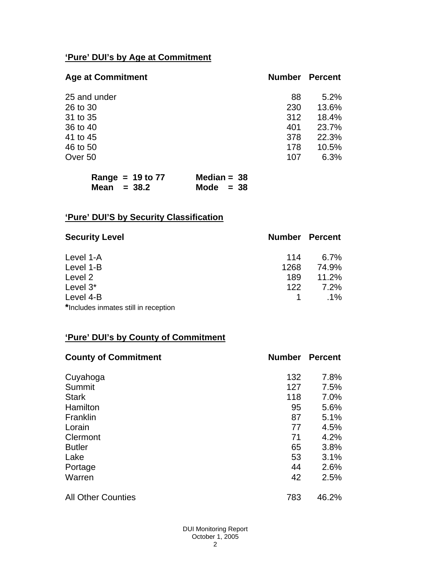# **'Pure' DUI's by Age at Commitment**

| <b>Age at Commitment</b> | <b>Number</b> | <b>Percent</b> |
|--------------------------|---------------|----------------|
| 25 and under             | 88            | 5.2%           |
| 26 to 30                 | 230           | 13.6%          |
| 31 to 35                 | 312           | 18.4%          |
| 36 to 40                 | 401           | 23.7%          |
| 41 to 45                 | 378           | 22.3%          |
| 46 to 50                 | 178           | 10.5%          |
| Over 50                  | 107           | 6.3%           |

| Range = $19$ to $77$ | Median = $38$ |
|----------------------|---------------|
| Mean $= 38.2$        | Mode $= 38$   |

# **'Pure' DUI'S by Security Classification**

| <b>Security Level</b>                | <b>Number Percent</b> |         |
|--------------------------------------|-----------------------|---------|
| Level 1-A                            | 114                   | $6.7\%$ |
| Level 1-B                            | 1268                  | 74.9%   |
| Level 2                              | 189                   | 11.2%   |
| Level 3*                             | 122                   | $7.2\%$ |
| Level 4-B                            |                       | $.1\%$  |
| *Includes inmates still in reception |                       |         |

# **'Pure' DUI's by County of Commitment**

| <b>County of Commitment</b> | <b>Number</b> | <b>Percent</b> |
|-----------------------------|---------------|----------------|
| Cuyahoga                    | 132           | 7.8%           |
| Summit                      | 127           | 7.5%           |
| <b>Stark</b>                | 118           | 7.0%           |
| Hamilton                    | 95            | 5.6%           |
| Franklin                    | 87            | 5.1%           |
| Lorain                      | 77            | 4.5%           |
| Clermont                    | 71            | 4.2%           |
| <b>Butler</b>               | 65            | 3.8%           |
| Lake                        | 53            | 3.1%           |
| Portage                     | 44            | 2.6%           |
| Warren                      | 42            | 2.5%           |
| <b>All Other Counties</b>   | 783           | 46.2%          |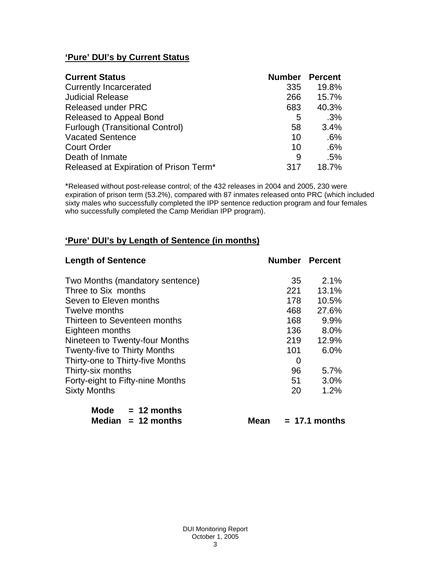# **'Pure' DUI's by Current Status**

| <b>Current Status</b>                  | <b>Number Percent</b> |       |
|----------------------------------------|-----------------------|-------|
| <b>Currently Incarcerated</b>          | 335                   | 19.8% |
| <b>Judicial Release</b>                | 266                   | 15.7% |
| <b>Released under PRC</b>              | 683                   | 40.3% |
| Released to Appeal Bond                | 5                     | .3%   |
| <b>Furlough (Transitional Control)</b> | 58                    | 3.4%  |
| <b>Vacated Sentence</b>                | 10                    | .6%   |
| <b>Court Order</b>                     | 10                    | .6%   |
| Death of Inmate                        | 9                     | .5%   |
| Released at Expiration of Prison Term* | 317                   | 18.7% |

\*Released without post-release control; of the 432 releases in 2004 and 2005, 230 were expiration of prison term (53.2%), compared with 87 inmates released onto PRC (which included sixty males who successfully completed the IPP sentence reduction program and four females who successfully completed the Camp Meridian IPP program).

# **'Pure' DUI's by Length of Sentence (in months)**

| <b>Length of Sentence</b>           | <b>Number Percent</b> |       |
|-------------------------------------|-----------------------|-------|
| Two Months (mandatory sentence)     | -35                   | 2.1%  |
| Three to Six months                 | 221                   | 13.1% |
| Seven to Eleven months              | 178                   | 10.5% |
| Twelve months                       | 468                   | 27.6% |
| Thirteen to Seventeen months        | 168                   | 9.9%  |
| Eighteen months                     | 136                   | 8.0%  |
| Nineteen to Twenty-four Months      | 219                   | 12.9% |
| <b>Twenty-five to Thirty Months</b> | 101                   | 6.0%  |
| Thirty-one to Thirty-five Months    | 0                     |       |
| Thirty-six months                   | 96                    | 5.7%  |
| Forty-eight to Fifty-nine Months    | 51                    | 3.0%  |
| <b>Sixty Months</b>                 | 20                    | 1.2%  |

| Mode   | $= 12$ months |
|--------|---------------|
| Median | $= 12$ months |

 $Mean = 17.1$  months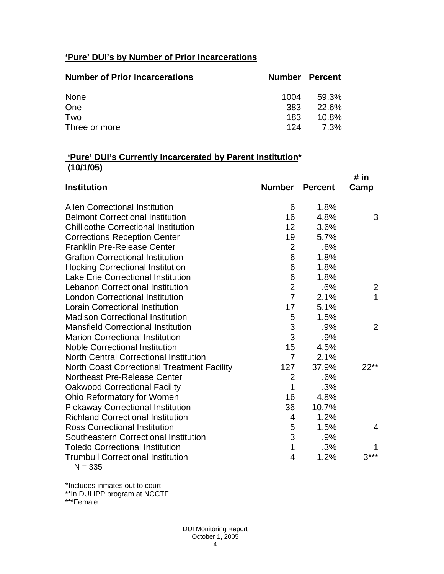# **'Pure' DUI's by Number of Prior Incarcerations**

| <b>Number of Prior Incarcerations</b> | <b>Number Percent</b> |          |
|---------------------------------------|-----------------------|----------|
| None                                  | 1004                  | 59.3%    |
| One                                   | 383                   | 22.6%    |
| Two                                   | 183                   | $10.8\%$ |
| Three or more                         | 124                   | 7.3%     |

### **'Pure' DUI's Currently Incarcerated by Parent Institution\* (10/1/05)**

|                                                    |                |                | # in                    |
|----------------------------------------------------|----------------|----------------|-------------------------|
| <b>Institution</b>                                 | Number         | <b>Percent</b> | Camp                    |
| <b>Allen Correctional Institution</b>              | 6              | 1.8%           |                         |
| <b>Belmont Correctional Institution</b>            | 16             | 4.8%           | 3                       |
| <b>Chillicothe Correctional Institution</b>        | 12             | 3.6%           |                         |
| <b>Corrections Reception Center</b>                | 19             | 5.7%           |                         |
| <b>Franklin Pre-Release Center</b>                 | $\overline{2}$ | .6%            |                         |
| <b>Grafton Correctional Institution</b>            | 6              | 1.8%           |                         |
| <b>Hocking Correctional Institution</b>            | 6              | 1.8%           |                         |
| <b>Lake Erie Correctional Institution</b>          | 6              | 1.8%           |                         |
| <b>Lebanon Correctional Institution</b>            | $\overline{2}$ | .6%            | $\overline{\mathbf{c}}$ |
| <b>London Correctional Institution</b>             | $\overline{7}$ | 2.1%           | $\overline{1}$          |
| <b>Lorain Correctional Institution</b>             | 17             | 5.1%           |                         |
| <b>Madison Correctional Institution</b>            | 5              | 1.5%           |                         |
| <b>Mansfield Correctional Institution</b>          | $\mathfrak{S}$ | .9%            | 2                       |
| <b>Marion Correctional Institution</b>             | 3              | .9%            |                         |
| <b>Noble Correctional Institution</b>              | 15             | 4.5%           |                         |
| <b>North Central Correctional Institution</b>      | $\overline{7}$ | 2.1%           |                         |
| <b>North Coast Correctional Treatment Facility</b> | 127            | 37.9%          | 22**                    |
| <b>Northeast Pre-Release Center</b>                | $\overline{2}$ | .6%            |                         |
| <b>Oakwood Correctional Facility</b>               | 1              | .3%            |                         |
| Ohio Reformatory for Women                         | 16             | 4.8%           |                         |
| <b>Pickaway Correctional Institution</b>           | 36             | 10.7%          |                         |
| <b>Richland Correctional Institution</b>           | 4              | 1.2%           |                         |
| <b>Ross Correctional Institution</b>               | 5              | 1.5%           | 4                       |
| Southeastern Correctional Institution              | 3              | .9%            |                         |
| <b>Toledo Correctional Institution</b>             | $\mathbf 1$    | .3%            |                         |
| <b>Trumbull Correctional Institution</b>           | $\overline{4}$ | 1.2%           | $3***$                  |
| $N = 335$                                          |                |                |                         |

\*Includes inmates out to court \*\*In DUI IPP program at NCCTF

\*\*\*Female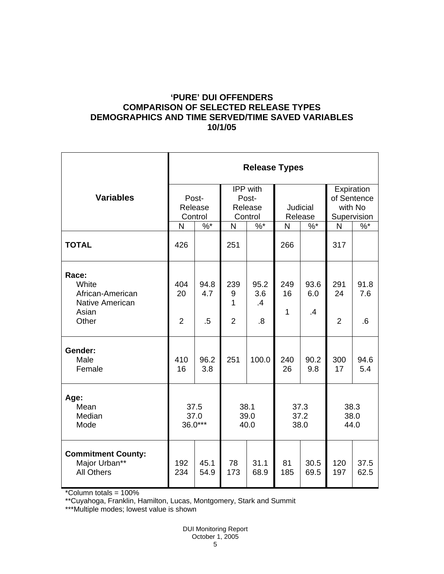# **'PURE' DUI OFFENDERS COMPARISON OF SELECTED RELEASE TYPES DEMOGRAPHICS AND TIME SERVED/TIME SAVED VARIABLES 10/1/05**

|                                                                                | <b>Release Types</b>        |                       |                                         |                                                 |                            |                   |                                                     |                   |  |
|--------------------------------------------------------------------------------|-----------------------------|-----------------------|-----------------------------------------|-------------------------------------------------|----------------------------|-------------------|-----------------------------------------------------|-------------------|--|
| <b>Variables</b>                                                               | Post-<br>Release<br>Control |                       | IPP with<br>Post-<br>Release<br>Control |                                                 | <b>Judicial</b><br>Release |                   | Expiration<br>of Sentence<br>with No<br>Supervision |                   |  |
|                                                                                | N                           | $%^*$                 | $\mathsf{N}$                            | $\%$ *                                          | N                          | $%^*$             | N                                                   | $\%$              |  |
| <b>TOTAL</b>                                                                   | 426                         |                       | 251                                     |                                                 | 266                        |                   | 317                                                 |                   |  |
| Race:<br>White<br>African-American<br><b>Native American</b><br>Asian<br>Other | 404<br>20<br>$\overline{2}$ | 94.8<br>4.7<br>$.5\,$ | 239<br>9<br>1<br>$\overline{2}$         | 95.2<br>3.6<br>$\boldsymbol{\mathcal{A}}$<br>.8 | 249<br>16<br>$\mathbf{1}$  | 93.6<br>6.0<br>.4 | 291<br>24<br>$\overline{2}$                         | 91.8<br>7.6<br>.6 |  |
| Gender:<br>Male<br>Female                                                      | 410<br>16                   | 96.2<br>3.8           | 251                                     | 100.0                                           | 240<br>26                  | 90.2<br>9.8       | 300<br>17                                           | 94.6<br>5.4       |  |
| Age:<br>Mean<br>Median<br>Mode                                                 | 37.5<br>37.0<br>$36.0***$   |                       | 38.1<br>39.0<br>40.0                    |                                                 | 37.3<br>37.2<br>38.0       |                   | 38.3<br>38.0<br>44.0                                |                   |  |
| <b>Commitment County:</b><br>Major Urban**<br><b>All Others</b>                | 192<br>234                  | 45.1<br>54.9          | 78<br>173                               | 31.1<br>68.9                                    | 81<br>185                  | 30.5<br>69.5      | 120<br>197                                          | 37.5<br>62.5      |  |

\*Column totals = 100%

\*\*Cuyahoga, Franklin, Hamilton, Lucas, Montgomery, Stark and Summit

\*\*\*Multiple modes; lowest value is shown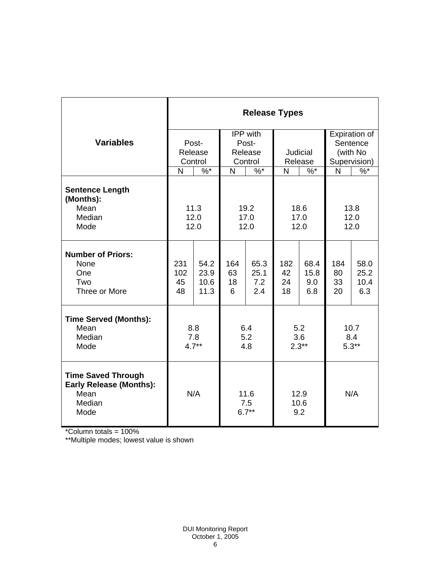|                                                                                       | <b>Release Types</b> |         |                        |        |                     |       |              |               |  |
|---------------------------------------------------------------------------------------|----------------------|---------|------------------------|--------|---------------------|-------|--------------|---------------|--|
|                                                                                       |                      |         | IPP with               |        |                     |       |              | Expiration of |  |
| <b>Variables</b>                                                                      | Post-                |         |                        | Post-  |                     |       |              | Sentence      |  |
|                                                                                       |                      | Release | Release                |        | Judicial            |       | (with No     |               |  |
|                                                                                       | Control              |         | Control                |        | Release             |       |              | Supervision)  |  |
|                                                                                       | N                    | $%^*$   | N                      | $\%$ * | N                   | $%^*$ | $\mathsf{N}$ | $\%$          |  |
| <b>Sentence Length</b><br>(Months):<br>Mean                                           |                      |         |                        | 19.2   | 18.6                |       | 13.8         |               |  |
| Median                                                                                | 11.3<br>12.0         |         | 17.0                   |        | 17.0                |       | 12.0         |               |  |
| Mode                                                                                  | 12.0                 |         | 12.0                   |        | 12.0                |       | 12.0         |               |  |
|                                                                                       |                      |         |                        |        |                     |       |              |               |  |
| <b>Number of Priors:</b><br>None                                                      | 231                  | 54.2    | 164                    | 65.3   | 182                 | 68.4  | 184          | 58.0          |  |
| One                                                                                   | 102                  | 23.9    | 63                     | 25.1   | 42                  | 15.8  | 80           | 25.2          |  |
| Two                                                                                   | 45                   | 10.6    | 18                     | 7.2    | 24                  | 9.0   | 33           | 10.4          |  |
| Three or More                                                                         | 48                   | 11.3    | 6                      | 2.4    | 18                  | 6.8   | 20           | 6.3           |  |
| <b>Time Served (Months):</b>                                                          |                      |         |                        |        |                     |       |              |               |  |
| Mean<br>Median                                                                        | 8.8                  |         | 6.4<br>5.2             |        | 5.2<br>3.6          |       | 10.7<br>8.4  |               |  |
| Mode                                                                                  | 7.8<br>$4.7**$       |         | 4.8                    |        | $2.3**$             |       | $5.3**$      |               |  |
|                                                                                       |                      |         |                        |        |                     |       |              |               |  |
| <b>Time Saved Through</b><br><b>Early Release (Months):</b><br>Mean<br>Median<br>Mode |                      | N/A     | 11.6<br>7.5<br>$6.7**$ |        | 12.9<br>10.6<br>9.2 | N/A   |              |               |  |

\*Column totals = 100%

\*\*Multiple modes; lowest value is shown